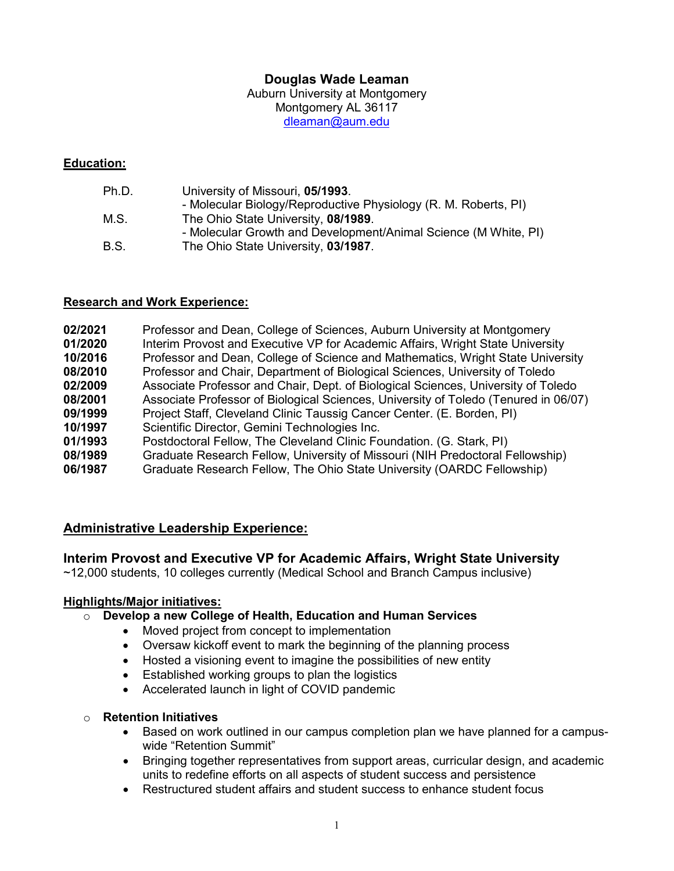## **Douglas Wade Leaman**

Auburn University at Montgomery Montgomery AL 36117 [dleaman@aum.edu](mailto:dleaman@aum.edu)

#### **Education:**

| Ph.D. | University of Missouri, 05/1993.                                |
|-------|-----------------------------------------------------------------|
|       | - Molecular Biology/Reproductive Physiology (R. M. Roberts, PI) |
| M.S.  | The Ohio State University, 08/1989.                             |
|       | - Molecular Growth and Development/Animal Science (M White, PI) |
| B.S.  | The Ohio State University, 03/1987.                             |
|       |                                                                 |

#### **Research and Work Experience:**

| 02/2021 | Professor and Dean, College of Sciences, Auburn University at Montgomery            |
|---------|-------------------------------------------------------------------------------------|
| 01/2020 | Interim Provost and Executive VP for Academic Affairs, Wright State University      |
| 10/2016 | Professor and Dean, College of Science and Mathematics, Wright State University     |
| 08/2010 | Professor and Chair, Department of Biological Sciences, University of Toledo        |
| 02/2009 | Associate Professor and Chair, Dept. of Biological Sciences, University of Toledo   |
| 08/2001 | Associate Professor of Biological Sciences, University of Toledo (Tenured in 06/07) |
| 09/1999 | Project Staff, Cleveland Clinic Taussig Cancer Center. (E. Borden, PI)              |
| 10/1997 | Scientific Director, Gemini Technologies Inc.                                       |
| 01/1993 | Postdoctoral Fellow, The Cleveland Clinic Foundation. (G. Stark, PI)                |
| 08/1989 | Graduate Research Fellow, University of Missouri (NIH Predoctoral Fellowship)       |
| 06/1987 | Graduate Research Fellow, The Ohio State University (OARDC Fellowship)              |
|         |                                                                                     |

## **Administrative Leadership Experience:**

#### **Interim Provost and Executive VP for Academic Affairs, Wright State University**

~12,000 students, 10 colleges currently (Medical School and Branch Campus inclusive)

#### **Highlights/Major initiatives:**

#### o **Develop a new College of Health, Education and Human Services**

- Moved project from concept to implementation
- Oversaw kickoff event to mark the beginning of the planning process
- Hosted a visioning event to imagine the possibilities of new entity
- Established working groups to plan the logistics
- Accelerated launch in light of COVID pandemic

#### o **Retention Initiatives**

- Based on work outlined in our campus completion plan we have planned for a campuswide "Retention Summit"
- Bringing together representatives from support areas, curricular design, and academic units to redefine efforts on all aspects of student success and persistence
- Restructured student affairs and student success to enhance student focus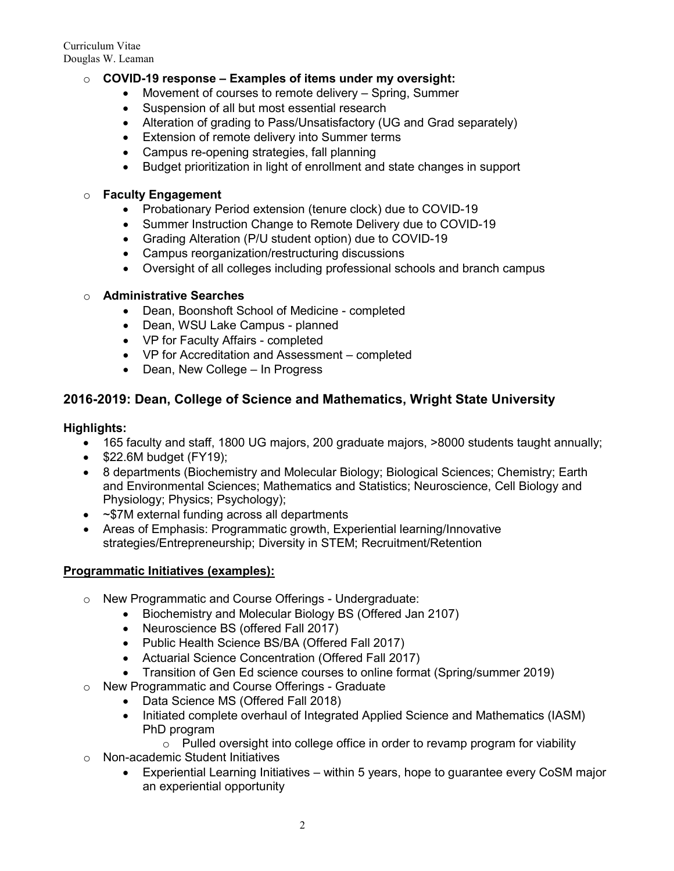## o **COVID-19 response – Examples of items under my oversight:**

- Movement of courses to remote delivery Spring, Summer
- Suspension of all but most essential research
- Alteration of grading to Pass/Unsatisfactory (UG and Grad separately)
- Extension of remote delivery into Summer terms
- Campus re-opening strategies, fall planning
- Budget prioritization in light of enrollment and state changes in support

#### o **Faculty Engagement**

- Probationary Period extension (tenure clock) due to COVID-19
- Summer Instruction Change to Remote Delivery due to COVID-19
- Grading Alteration (P/U student option) due to COVID-19
- Campus reorganization/restructuring discussions
- Oversight of all colleges including professional schools and branch campus

#### o **Administrative Searches**

- Dean, Boonshoft School of Medicine completed
- Dean, WSU Lake Campus planned
- VP for Faculty Affairs completed
- VP for Accreditation and Assessment completed
- Dean, New College In Progress

## **2016-2019: Dean, College of Science and Mathematics, Wright State University**

## **Highlights:**

- 165 faculty and staff, 1800 UG majors, 200 graduate majors, >8000 students taught annually;
- \$22.6M budget (FY19);
- 8 departments (Biochemistry and Molecular Biology; Biological Sciences; Chemistry; Earth and Environmental Sciences; Mathematics and Statistics; Neuroscience, Cell Biology and Physiology; Physics; Psychology);
- ~\$7M external funding across all departments
- Areas of Emphasis: Programmatic growth, Experiential learning/Innovative strategies/Entrepreneurship; Diversity in STEM; Recruitment/Retention

#### **Programmatic Initiatives (examples):**

- o New Programmatic and Course Offerings Undergraduate:
	- Biochemistry and Molecular Biology BS (Offered Jan 2107)
	- Neuroscience BS (offered Fall 2017)
	- Public Health Science BS/BA (Offered Fall 2017)
	- Actuarial Science Concentration (Offered Fall 2017)
	- Transition of Gen Ed science courses to online format (Spring/summer 2019)
- o New Programmatic and Course Offerings Graduate
	- Data Science MS (Offered Fall 2018)
	- Initiated complete overhaul of Integrated Applied Science and Mathematics (IASM) PhD program
		- o Pulled oversight into college office in order to revamp program for viability
- o Non-academic Student Initiatives
	- Experiential Learning Initiatives within 5 years, hope to guarantee every CoSM major an experiential opportunity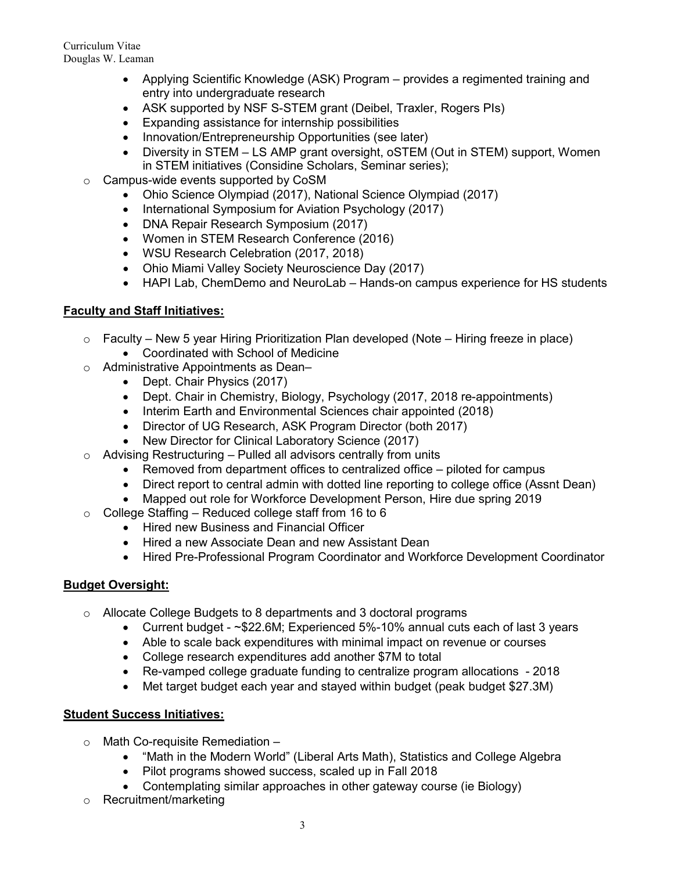- Applying Scientific Knowledge (ASK) Program provides a regimented training and entry into undergraduate research
- ASK supported by NSF S-STEM grant (Deibel, Traxler, Rogers PIs)
- Expanding assistance for internship possibilities
- Innovation/Entrepreneurship Opportunities (see later)
- Diversity in STEM LS AMP grant oversight, oSTEM (Out in STEM) support, Women in STEM initiatives (Considine Scholars, Seminar series);
- o Campus-wide events supported by CoSM
	- Ohio Science Olympiad (2017), National Science Olympiad (2017)
	- International Symposium for Aviation Psychology (2017)
	- DNA Repair Research Symposium (2017)
	- Women in STEM Research Conference (2016)
	- WSU Research Celebration (2017, 2018)
	- Ohio Miami Valley Society Neuroscience Day (2017)
	- HAPI Lab, ChemDemo and NeuroLab Hands-on campus experience for HS students

## **Faculty and Staff Initiatives:**

- $\circ$  Faculty New 5 year Hiring Prioritization Plan developed (Note Hiring freeze in place)
	- Coordinated with School of Medicine
- o Administrative Appointments as Dean–
	- Dept. Chair Physics (2017)
	- Dept. Chair in Chemistry, Biology, Psychology (2017, 2018 re-appointments)
	- Interim Earth and Environmental Sciences chair appointed (2018)
	- Director of UG Research, ASK Program Director (both 2017)
	- New Director for Clinical Laboratory Science (2017)
- $\circ$  Advising Restructuring Pulled all advisors centrally from units
	- Removed from department offices to centralized office piloted for campus
	- Direct report to central admin with dotted line reporting to college office (Assnt Dean)
	- Mapped out role for Workforce Development Person, Hire due spring 2019
- $\circ$  College Staffing Reduced college staff from 16 to 6
	- Hired new Business and Financial Officer
	- Hired a new Associate Dean and new Assistant Dean
	- Hired Pre-Professional Program Coordinator and Workforce Development Coordinator

# **Budget Oversight:**

- o Allocate College Budgets to 8 departments and 3 doctoral programs
	- Current budget ~\$22.6M; Experienced 5%-10% annual cuts each of last 3 years
	- Able to scale back expenditures with minimal impact on revenue or courses
	- College research expenditures add another \$7M to total
	- Re-vamped college graduate funding to centralize program allocations 2018
	- Met target budget each year and stayed within budget (peak budget \$27.3M)

## **Student Success Initiatives:**

- $\circ$  Math Co-requisite Remediation  $-$ 
	- "Math in the Modern World" (Liberal Arts Math), Statistics and College Algebra
	- Pilot programs showed success, scaled up in Fall 2018
	- Contemplating similar approaches in other gateway course (ie Biology)
- o Recruitment/marketing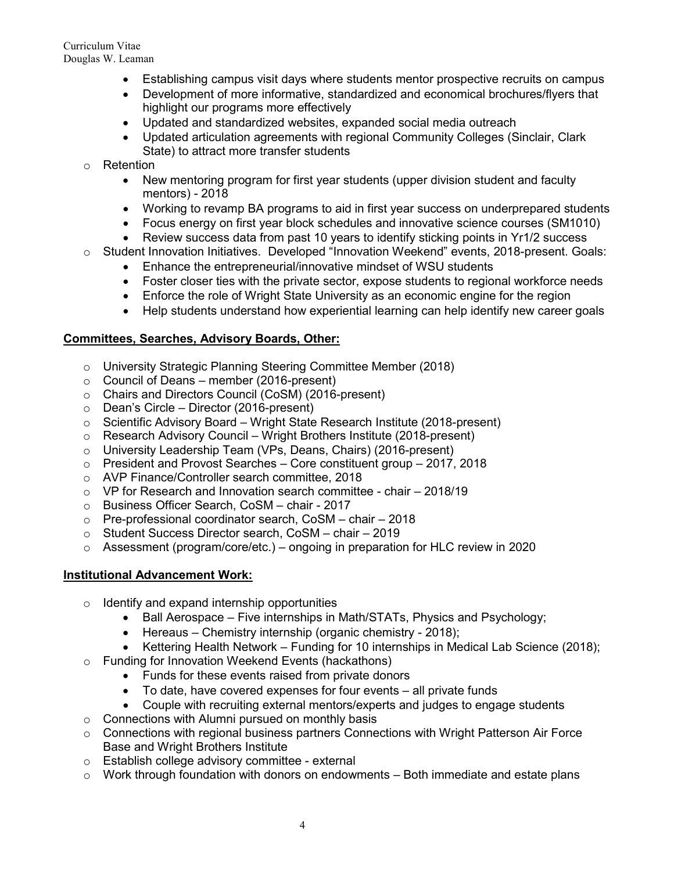- Establishing campus visit days where students mentor prospective recruits on campus
- Development of more informative, standardized and economical brochures/flyers that highlight our programs more effectively
- Updated and standardized websites, expanded social media outreach
- Updated articulation agreements with regional Community Colleges (Sinclair, Clark State) to attract more transfer students
- o Retention
	- New mentoring program for first year students (upper division student and faculty mentors) - 2018
	- Working to revamp BA programs to aid in first year success on underprepared students
	- Focus energy on first year block schedules and innovative science courses (SM1010)
	- Review success data from past 10 years to identify sticking points in Yr1/2 success
- o Student Innovation Initiatives. Developed "Innovation Weekend" events, 2018-present. Goals:
	- Enhance the entrepreneurial/innovative mindset of WSU students
	- Foster closer ties with the private sector, expose students to regional workforce needs
	- Enforce the role of Wright State University as an economic engine for the region
	- Help students understand how experiential learning can help identify new career goals

## **Committees, Searches, Advisory Boards, Other:**

- o University Strategic Planning Steering Committee Member (2018)
- $\circ$  Council of Deans member (2016-present)
- o Chairs and Directors Council (CoSM) (2016-present)
- o Dean's Circle Director (2016-present)<br>○ Scientific Advisory Board Wright State
- Scientific Advisory Board Wright State Research Institute (2018-present)
- $\circ$  Research Advisory Council Wright Brothers Institute (2018-present)
- o University Leadership Team (VPs, Deans, Chairs) (2016-present)<br>  $\circ$  President and Provost Searches Core constituent group 2017.
- President and Provost Searches Core constituent group 2017, 2018
- o AVP Finance/Controller search committee, 2018
- $\circ$  VP for Research and Innovation search committee chair 2018/19
- o Business Officer Search, CoSM chair 2017
- o Pre-professional coordinator search, CoSM chair 2018
- o Student Success Director search, CoSM chair 2019
- $\circ$  Assessment (program/core/etc.) ongoing in preparation for HLC review in 2020

## **Institutional Advancement Work:**

- o Identify and expand internship opportunities
	- Ball Aerospace Five internships in Math/STATs, Physics and Psychology;
	- Hereaus Chemistry internship (organic chemistry 2018);
	- Kettering Health Network Funding for 10 internships in Medical Lab Science (2018);
- o Funding for Innovation Weekend Events (hackathons)
	- Funds for these events raised from private donors
	- To date, have covered expenses for four events all private funds
	- Couple with recruiting external mentors/experts and judges to engage students
- o Connections with Alumni pursued on monthly basis
- o Connections with regional business partners Connections with Wright Patterson Air Force Base and Wright Brothers Institute
- o Establish college advisory committee external
- $\circ$  Work through foundation with donors on endowments Both immediate and estate plans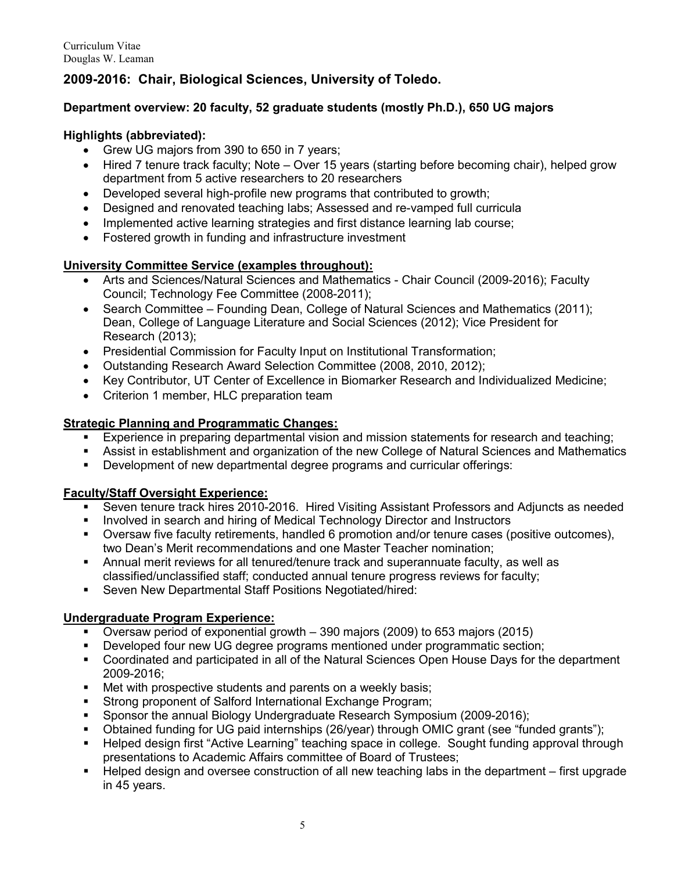# **2009-2016: Chair, Biological Sciences, University of Toledo.**

## **Department overview: 20 faculty, 52 graduate students (mostly Ph.D.), 650 UG majors**

## **Highlights (abbreviated):**

- Grew UG majors from 390 to 650 in 7 years;
- Hired 7 tenure track faculty: Note Over 15 years (starting before becoming chair), helped grow department from 5 active researchers to 20 researchers
- Developed several high-profile new programs that contributed to growth;
- Designed and renovated teaching labs; Assessed and re-vamped full curricula
- Implemented active learning strategies and first distance learning lab course;
- Fostered growth in funding and infrastructure investment

## **University Committee Service (examples throughout):**

- Arts and Sciences/Natural Sciences and Mathematics Chair Council (2009-2016); Faculty Council; Technology Fee Committee (2008-2011);
- Search Committee Founding Dean, College of Natural Sciences and Mathematics (2011); Dean, College of Language Literature and Social Sciences (2012); Vice President for Research (2013);
- Presidential Commission for Faculty Input on Institutional Transformation;
- Outstanding Research Award Selection Committee (2008, 2010, 2012);
- Key Contributor, UT Center of Excellence in Biomarker Research and Individualized Medicine;
- Criterion 1 member, HLC preparation team

# **Strategic Planning and Programmatic Changes:**<br>**Experience in preparing departmental vision**

- Experience in preparing departmental vision and mission statements for research and teaching;
- Assist in establishment and organization of the new College of Natural Sciences and Mathematics
- Development of new departmental degree programs and curricular offerings:

## **Faculty/Staff Oversight Experience:**

- Seven tenure track hires 2010-2016. Hired Visiting Assistant Professors and Adjuncts as needed
- **Involved in search and hiring of Medical Technology Director and Instructors**
- Oversaw five faculty retirements, handled 6 promotion and/or tenure cases (positive outcomes), two Dean's Merit recommendations and one Master Teacher nomination;
- Annual merit reviews for all tenured/tenure track and superannuate faculty, as well as classified/unclassified staff; conducted annual tenure progress reviews for faculty;
- **Seven New Departmental Staff Positions Negotiated/hired:**

## **Undergraduate Program Experience:**

- Oversaw period of exponential growth 390 majors (2009) to 653 majors (2015)
- Developed four new UG degree programs mentioned under programmatic section;
- Coordinated and participated in all of the Natural Sciences Open House Days for the department 2009-2016;
- Met with prospective students and parents on a weekly basis;<br>■ Strong proponent of Salford International Exchange Program;
- Strong proponent of Salford International Exchange Program;
- Sponsor the annual Biology Undergraduate Research Symposium (2009-2016);
- Obtained funding for UG paid internships (26/year) through OMIC grant (see "funded grants");
- Helped design first "Active Learning" teaching space in college. Sought funding approval through presentations to Academic Affairs committee of Board of Trustees;
- Helped design and oversee construction of all new teaching labs in the department first upgrade in 45 years.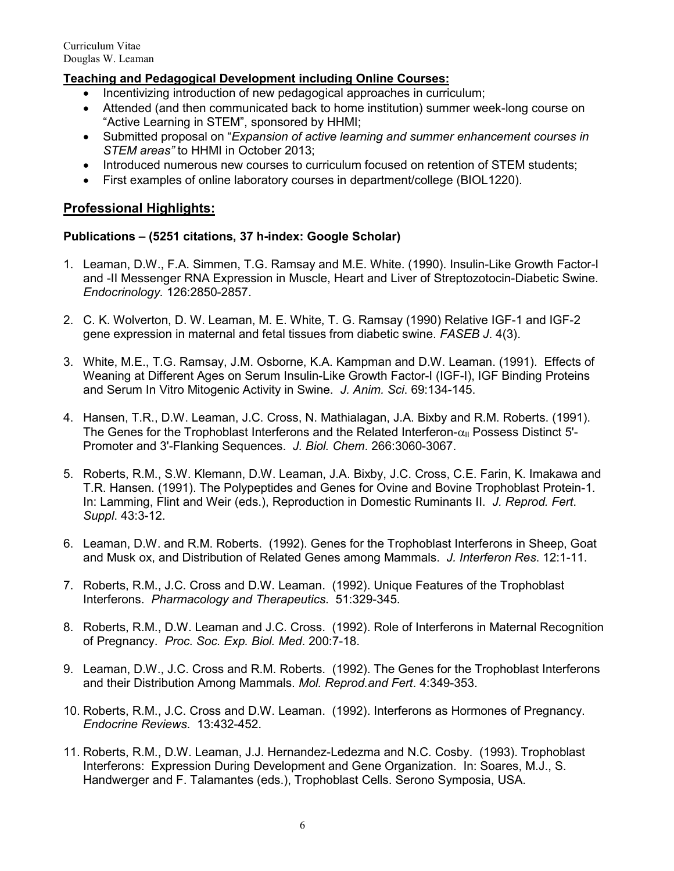## **Teaching and Pedagogical Development including Online Courses:**

- Incentivizing introduction of new pedagogical approaches in curriculum;
- Attended (and then communicated back to home institution) summer week-long course on "Active Learning in STEM", sponsored by HHMI;
- Submitted proposal on "*Expansion of active learning and summer enhancement courses in STEM areas"* to HHMI in October 2013;
- Introduced numerous new courses to curriculum focused on retention of STEM students;
- First examples of online laboratory courses in department/college (BIOL1220).

## **Professional Highlights:**

#### **Publications – (5251 citations, 37 h-index: Google Scholar)**

- 1. Leaman, D.W., F.A. Simmen, T.G. Ramsay and M.E. White. (1990). Insulin-Like Growth Factor-I and -II Messenger RNA Expression in Muscle, Heart and Liver of Streptozotocin-Diabetic Swine. *Endocrinology.* 126:2850-2857.
- 2. C. K. Wolverton, D. W. Leaman, M. E. White, T. G. Ramsay (1990) Relative IGF-1 and IGF-2 gene expression in maternal and fetal tissues from diabetic swine. *FASEB J*. 4(3).
- 3. White, M.E., T.G. Ramsay, J.M. Osborne, K.A. Kampman and D.W. Leaman. (1991). Effects of Weaning at Different Ages on Serum Insulin-Like Growth Factor-I (IGF-I), IGF Binding Proteins and Serum In Vitro Mitogenic Activity in Swine. *J. Anim. Sci*. 69:134-145.
- 4. Hansen, T.R., D.W. Leaman, J.C. Cross, N. Mathialagan, J.A. Bixby and R.M. Roberts. (1991). The Genes for the Trophoblast Interferons and the Related Interferon- $\alpha_{\parallel}$  Possess Distinct 5'-Promoter and 3'-Flanking Sequences. *J. Biol. Chem*. 266:3060-3067.
- 5. Roberts, R.M., S.W. Klemann, D.W. Leaman, J.A. Bixby, J.C. Cross, C.E. Farin, K. Imakawa and T.R. Hansen. (1991). The Polypeptides and Genes for Ovine and Bovine Trophoblast Protein-1. In: Lamming, Flint and Weir (eds.), Reproduction in Domestic Ruminants II. *J. Reprod. Fert*. *Suppl*. 43:3-12.
- 6. Leaman, D.W. and R.M. Roberts. (1992). Genes for the Trophoblast Interferons in Sheep, Goat and Musk ox, and Distribution of Related Genes among Mammals. *J. Interferon Res*. 12:1-11.
- 7. Roberts, R.M., J.C. Cross and D.W. Leaman. (1992). Unique Features of the Trophoblast Interferons. *Pharmacology and Therapeutics*. 51:329-345.
- 8. Roberts, R.M., D.W. Leaman and J.C. Cross. (1992). Role of Interferons in Maternal Recognition of Pregnancy. *Proc. Soc. Exp. Biol. Med*. 200:7-18.
- 9. Leaman, D.W., J.C. Cross and R.M. Roberts. (1992). The Genes for the Trophoblast Interferons and their Distribution Among Mammals. *Mol. Reprod.and Fert*. 4:349-353.
- 10. Roberts, R.M., J.C. Cross and D.W. Leaman. (1992). Interferons as Hormones of Pregnancy. *Endocrine Reviews*. 13:432-452.
- 11. Roberts, R.M., D.W. Leaman, J.J. Hernandez-Ledezma and N.C. Cosby. (1993). Trophoblast Interferons: Expression During Development and Gene Organization. In: Soares, M.J., S. Handwerger and F. Talamantes (eds.), Trophoblast Cells. Serono Symposia, USA.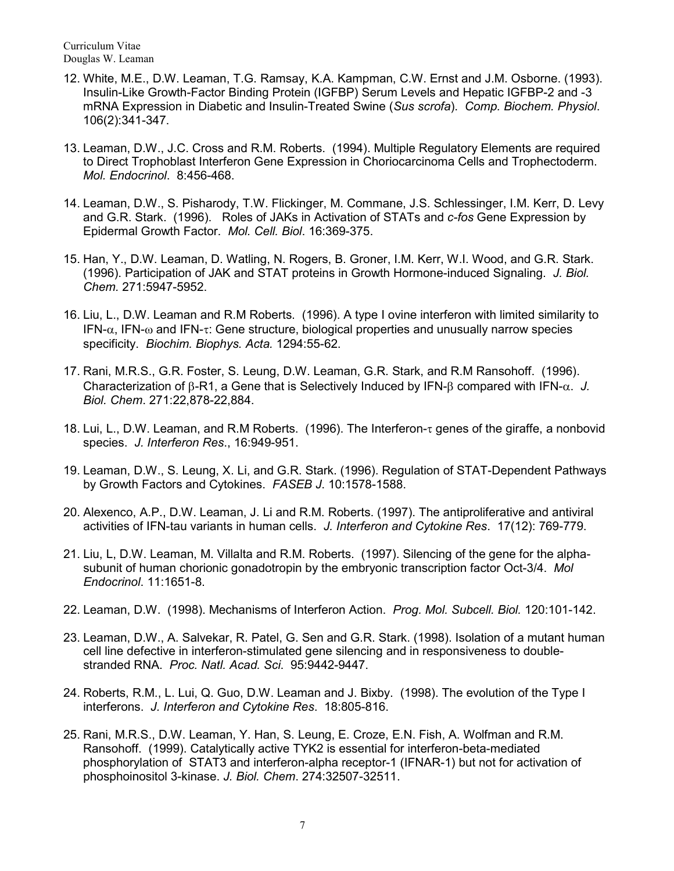- 12. White, M.E., D.W. Leaman, T.G. Ramsay, K.A. Kampman, C.W. Ernst and J.M. Osborne. (1993). Insulin-Like Growth-Factor Binding Protein (IGFBP) Serum Levels and Hepatic IGFBP-2 and -3 mRNA Expression in Diabetic and Insulin-Treated Swine (*Sus scrofa*). *Comp. Biochem. Physiol*. 106(2):341-347.
- 13. Leaman, D.W., J.C. Cross and R.M. Roberts. (1994). Multiple Regulatory Elements are required to Direct Trophoblast Interferon Gene Expression in Choriocarcinoma Cells and Trophectoderm. *Mol. Endocrinol*. 8:456-468.
- 14. Leaman, D.W., S. Pisharody, T.W. Flickinger, M. Commane, J.S. Schlessinger, I.M. Kerr, D. Levy and G.R. Stark. (1996). Roles of JAKs in Activation of STATs and *c-fos* Gene Expression by Epidermal Growth Factor. *Mol. Cell. Biol*. 16:369-375.
- 15. Han, Y., D.W. Leaman, D. Watling, N. Rogers, B. Groner, I.M. Kerr, W.I. Wood, and G.R. Stark. (1996). Participation of JAK and STAT proteins in Growth Hormone-induced Signaling. *J. Biol. Chem.* 271:5947-5952.
- 16. Liu, L., D.W. Leaman and R.M Roberts. (1996). A type I ovine interferon with limited similarity to IFN- $\alpha$ , IFN- $\omega$  and IFN-τ: Gene structure, biological properties and unusually narrow species specificity. *Biochim. Biophys. Acta.* 1294:55-62.
- 17. Rani, M.R.S., G.R. Foster, S. Leung, D.W. Leaman, G.R. Stark, and R.M Ransohoff. (1996). Characterization of β-R1, a Gene that is Selectively Induced by IFN-β compared with IFN-α. *J. Biol. Chem*. 271:22,878-22,884.
- 18. Lui, L., D.W. Leaman, and R.M Roberts. (1996). The Interferon-τ genes of the giraffe, a nonbovid species. *J. Interferon Res*., 16:949-951.
- 19. Leaman, D.W., S. Leung, X. Li, and G.R. Stark. (1996). Regulation of STAT-Dependent Pathways by Growth Factors and Cytokines. *FASEB J*. 10:1578-1588.
- 20. Alexenco, A.P., D.W. Leaman, J. Li and R.M. Roberts. (1997). The antiproliferative and antiviral activities of IFN-tau variants in human cells. *J. Interferon and Cytokine Res*. 17(12): 769-779.
- 21. Liu, L, D.W. Leaman, M. Villalta and R.M. Roberts. (1997). Silencing of the gene for the alphasubunit of human chorionic gonadotropin by the embryonic transcription factor Oct-3/4. *Mol Endocrinol*. 11:1651-8.
- 22. Leaman, D.W. (1998). Mechanisms of Interferon Action. *Prog. Mol. Subcell. Biol.* 120:101-142.
- 23. Leaman, D.W., A. Salvekar, R. Patel, G. Sen and G.R. Stark. (1998). Isolation of a mutant human cell line defective in interferon-stimulated gene silencing and in responsiveness to doublestranded RNA. *Proc. Natl. Acad. Sci*. 95:9442-9447.
- 24. Roberts, R.M., L. Lui, Q. Guo, D.W. Leaman and J. Bixby. (1998). The evolution of the Type I interferons. *J. Interferon and Cytokine Res*. 18:805-816.
- 25. Rani, M.R.S., D.W. Leaman, Y. Han, S. Leung, E. Croze, E.N. Fish, A. Wolfman and R.M. Ransohoff. (1999). Catalytically active TYK2 is essential for interferon-beta-mediated phosphorylation of STAT3 and interferon-alpha receptor-1 (IFNAR-1) but not for activation of phosphoinositol 3-kinase. *J. Biol. Chem*. 274:32507-32511.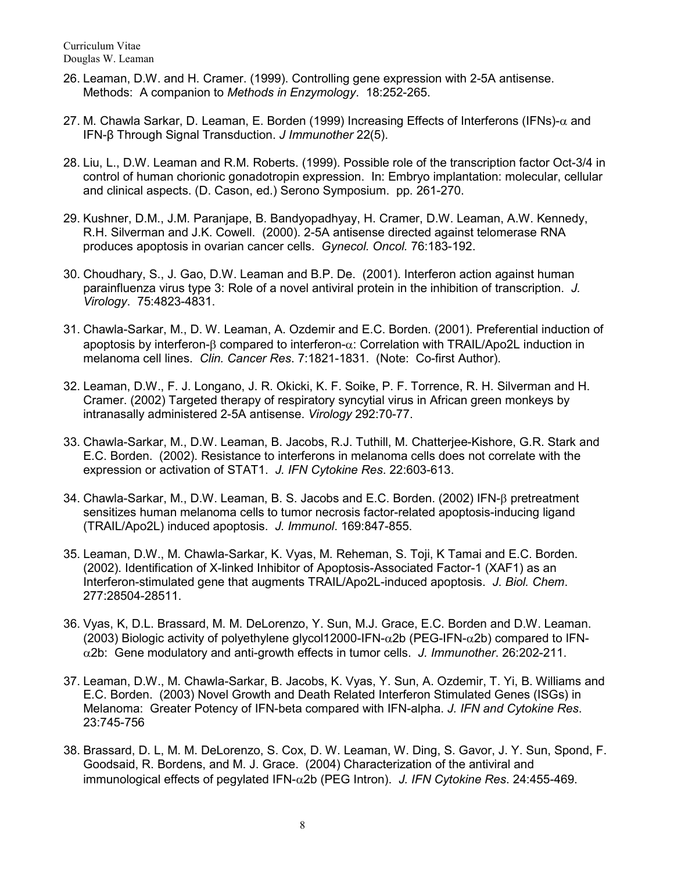- 26. Leaman, D.W. and H. Cramer. (1999). Controlling gene expression with 2-5A antisense. Methods: A companion to *Methods in Enzymology*. 18:252-265.
- 27. M. Chawla Sarkar, D. Leaman, E. Borden (1999) Increasing Effects of Interferons (IFNs)- $\alpha$  and IFN-β Through Signal Transduction. *J Immunother* 22(5).
- 28. Liu, L., D.W. Leaman and R.M. Roberts. (1999). Possible role of the transcription factor Oct-3/4 in control of human chorionic gonadotropin expression. In: Embryo implantation: molecular, cellular and clinical aspects. (D. Cason, ed.) Serono Symposium. pp. 261-270.
- 29. Kushner, D.M., J.M. Paranjape, B. Bandyopadhyay, H. Cramer, D.W. Leaman, A.W. Kennedy, R.H. Silverman and J.K. Cowell. (2000). 2-5A antisense directed against telomerase RNA produces apoptosis in ovarian cancer cells. *Gynecol. Oncol.* 76:183-192.
- 30. Choudhary, S., J. Gao, D.W. Leaman and B.P. De. (2001). Interferon action against human parainfluenza virus type 3: Role of a novel antiviral protein in the inhibition of transcription. *J. Virology*. 75:4823-4831.
- 31. Chawla-Sarkar, M., D. W. Leaman, A. Ozdemir and E.C. Borden. (2001). Preferential induction of apoptosis by interferon-β compared to interferon-α: Correlation with TRAIL/Apo2L induction in melanoma cell lines. *Clin. Cancer Res*. 7:1821-1831. (Note: Co-first Author).
- 32. Leaman, D.W., F. J. Longano, J. R. Okicki, K. F. Soike, P. F. Torrence, R. H. Silverman and H. Cramer. (2002) Targeted therapy of respiratory syncytial virus in African green monkeys by intranasally administered 2-5A antisense. *Virology* 292:70-77.
- 33. Chawla-Sarkar, M., D.W. Leaman, B. Jacobs, R.J. Tuthill, M. Chatterjee-Kishore, G.R. Stark and E.C. Borden. (2002). Resistance to interferons in melanoma cells does not correlate with the expression or activation of STAT1. *J. IFN Cytokine Res*. 22:603-613.
- 34. Chawla-Sarkar, M., D.W. Leaman, B. S. Jacobs and E.C. Borden. (2002) IFN-β pretreatment sensitizes human melanoma cells to tumor necrosis factor-related apoptosis-inducing ligand (TRAIL/Apo2L) induced apoptosis. *J. Immunol*. 169:847-855.
- 35. Leaman, D.W., M. Chawla-Sarkar, K. Vyas, M. Reheman, S. Toji, K Tamai and E.C. Borden. (2002). Identification of X-linked Inhibitor of Apoptosis-Associated Factor-1 (XAF1) as an Interferon-stimulated gene that augments TRAIL/Apo2L-induced apoptosis. *J. Biol. Chem*. 277:28504-28511.
- 36. Vyas, K, D.L. Brassard, M. M. DeLorenzo, Y. Sun, M.J. Grace, E.C. Borden and D.W. Leaman. (2003) Biologic activity of polyethylene glycol12000-IFN- $\alpha$ 2b (PEG-IFN- $\alpha$ 2b) compared to IFNα2b: Gene modulatory and anti-growth effects in tumor cells. *J. Immunother*. 26:202-211.
- 37. Leaman, D.W., M. Chawla-Sarkar, B. Jacobs, K. Vyas, Y. Sun, A. Ozdemir, T. Yi, B. Williams and E.C. Borden. (2003) Novel Growth and Death Related Interferon Stimulated Genes (ISGs) in Melanoma: Greater Potency of IFN-beta compared with IFN-alpha. *J. IFN and Cytokine Res*. 23:745-756
- 38. Brassard, D. L, M. M. DeLorenzo, S. Cox, D. W. Leaman, W. Ding, S. Gavor, J. Y. Sun, Spond, F. Goodsaid, R. Bordens, and M. J. Grace. (2004) Characterization of the antiviral and immunological effects of pegylated IFN-α2b (PEG Intron). *J. IFN Cytokine Res*. 24:455-469.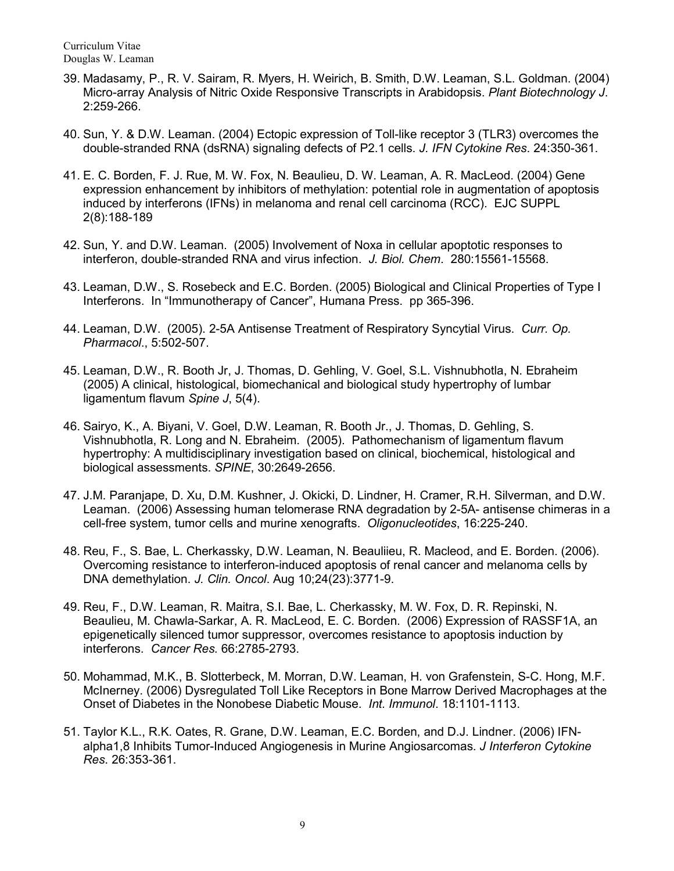- 39. Madasamy, P., R. V. Sairam, R. Myers, H. Weirich, B. Smith, D.W. Leaman, S.L. Goldman. (2004) Micro-array Analysis of Nitric Oxide Responsive Transcripts in Arabidopsis. *Plant Biotechnology J*. 2:259-266.
- 40. Sun, Y. & D.W. Leaman. (2004) Ectopic expression of Toll-like receptor 3 (TLR3) overcomes the double-stranded RNA (dsRNA) signaling defects of P2.1 cells. *J. IFN Cytokine Res*. 24:350-361.
- 41. E. C. Borden, F. J. Rue, M. W. Fox, N. Beaulieu, D. W. Leaman, A. R. MacLeod. (2004) Gene expression enhancement by inhibitors of methylation: potential role in augmentation of apoptosis induced by interferons (IFNs) in melanoma and renal cell carcinoma (RCC). EJC SUPPL 2(8):188-189
- 42. Sun, Y. and D.W. Leaman. (2005) Involvement of Noxa in cellular apoptotic responses to interferon, double-stranded RNA and virus infection. *J. Biol. Chem*. 280:15561-15568.
- 43. Leaman, D.W., S. Rosebeck and E.C. Borden. (2005) Biological and Clinical Properties of Type I Interferons. In "Immunotherapy of Cancer", Humana Press. pp 365-396.
- 44. Leaman, D.W. (2005). 2-5A Antisense Treatment of Respiratory Syncytial Virus. *Curr. Op. Pharmacol*., 5:502-507.
- 45. Leaman, D.W., R. Booth Jr, J. Thomas, D. [Gehling,](http://www.researchgate.net/researcher/2045783334_Daniel_Gehling) V. Goel, S.L. Vishnubhotla, N. Ebraheim (2005) A clinical, histological, biomechanical and biological study hypertrophy of lumbar ligamentum flavum *Spine J*, 5(4).
- 46. Sairyo, K., A. Biyani, V. Goel, D.W. Leaman, R. Booth Jr., J. Thomas, D. Gehling, S. Vishnubhotla, R. Long and N. Ebraheim. (2005). Pathomechanism of ligamentum flavum hypertrophy: A multidisciplinary investigation based on clinical, biochemical, histological and biological assessments. *SPINE*, 30:2649-2656.
- 47. J.M. Paranjape, D. Xu, D.M. Kushner, J. Okicki, D. Lindner, H. Cramer, R.H. Silverman, and D.W. Leaman. (2006) Assessing human telomerase RNA degradation by 2-5A- antisense chimeras in a cell-free system, tumor cells and murine xenografts. *Oligonucleotides*, 16:225-240.
- 48. Reu, F., S. Bae, L. Cherkassky, D.W. Leaman, N. Beauliieu, R. Macleod, and E. Borden. (2006). Overcoming resistance to interferon-induced apoptosis of renal cancer and melanoma cells by DNA demethylation. *J. Clin. Oncol*. Aug 10;24(23):3771-9.
- 49. Reu, F., D.W. Leaman, R. Maitra, S.I. Bae, L. Cherkassky, M. W. Fox, D. R. Repinski, N. Beaulieu, M. Chawla-Sarkar, A. R. MacLeod, E. C. Borden. (2006) Expression of RASSF1A, an epigenetically silenced tumor suppressor, overcomes resistance to apoptosis induction by interferons. *Cancer Res.* 66:2785-2793.
- 50. Mohammad, M.K., B. Slotterbeck, M. Morran, D.W. Leaman, H. von Grafenstein, S-C. Hong, M.F. McInerney. (2006) Dysregulated Toll Like Receptors in Bone Marrow Derived Macrophages at the Onset of Diabetes in the Nonobese Diabetic Mouse. *Int. Immunol*. 18:1101-1113.
- 51. Taylor K.L., R.K. Oates, R. Grane, D.W. Leaman, E.C. Borden, and D.J. Lindner. (2006) IFNalpha1,8 Inhibits Tumor-Induced Angiogenesis in Murine Angiosarcomas. *J Interferon Cytokine Res*. 26:353-361.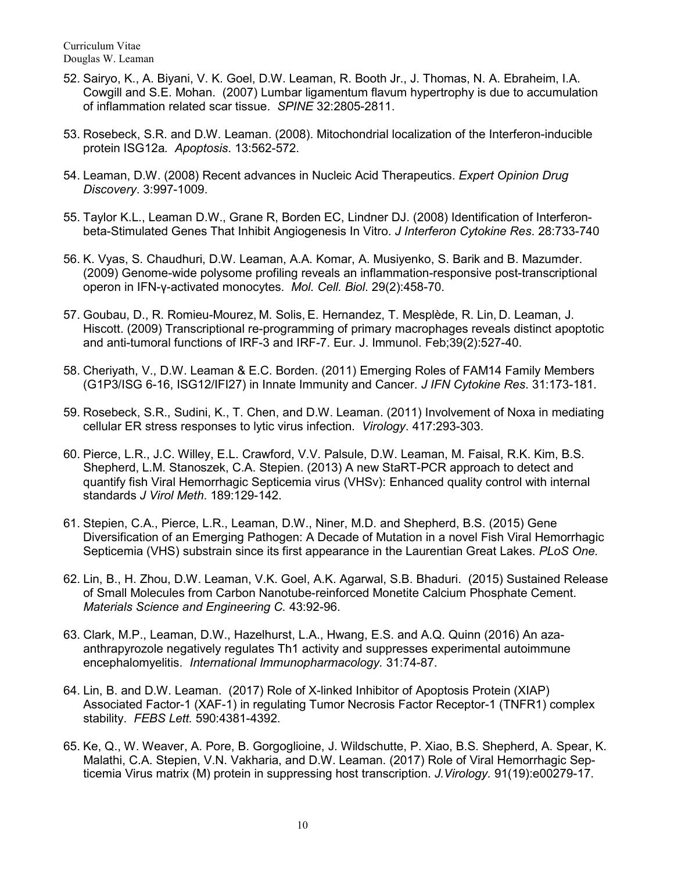- 52. Sairyo, K., A. Biyani, V. K. Goel, D.W. Leaman, R. Booth Jr., J. Thomas, N. A. Ebraheim, I.A. Cowgill and S.E. Mohan. (2007) Lumbar ligamentum flavum hypertrophy is due to accumulation of inflammation related scar tissue. *SPINE* 32:2805-2811.
- 53. Rosebeck, S.R. and D.W. Leaman. (2008). Mitochondrial localization of the Interferon-inducible protein ISG12a*. Apoptosis*. 13:562-572.
- 54. Leaman, D.W. (2008) Recent advances in Nucleic Acid Therapeutics. *Expert Opinion Drug Discovery*. 3:997-1009.
- 55. Taylor K.L., Leaman D.W., Grane R, Borden EC, Lindner DJ. (2008) Identification of Interferonbeta-Stimulated Genes That Inhibit Angiogenesis In Vitro. *J Interferon Cytokine Res*. 28:733-740
- 56. K. Vyas, S. Chaudhuri, D.W. Leaman, A.A. Komar, A. Musiyenko, S. Barik and B. Mazumder. (2009) Genome-wide polysome profiling reveals an inflammation-responsive post-transcriptional operon in IFN-γ-activated monocytes. *Mol. Cell. Biol*. 29(2):458-70.
- 57. Goubau, D., R. Romieu-Mourez, M. Solis, E. Hernandez, T. Mesplède, R. Lin, D. Leaman, J. Hiscott. (2009) Transcriptional re-programming of primary macrophages reveals distinct apoptotic and anti-tumoral functions of IRF-3 and IRF-7. Eur. J. Immunol. Feb;39(2):527-40.
- 58. Cheriyath, V., D.W. Leaman & E.C. Borden. (2011) Emerging Roles of FAM14 Family Members (G1P3/ISG 6-16, ISG12/IFI27) in Innate Immunity and Cancer. *J IFN Cytokine Res*. 31:173-181.
- 59. Rosebeck, S.R., Sudini, K., T. Chen, and D.W. Leaman. (2011) Involvement of Noxa in mediating cellular ER stress responses to lytic virus infection. *Virology*. 417:293-303.
- 60. Pierce, L.R., J.C. Willey, E.L. Crawford, V.V. Palsule, D.W. Leaman, M. Faisal, R.K. Kim, B.S. Shepherd, L.M. Stanoszek, C.A. Stepien. (2013) A new StaRT-PCR approach to detect and quantify fish Viral Hemorrhagic Septicemia virus (VHSv): Enhanced quality control with internal standards *J Virol Meth*. 189:129-142.
- 61. Stepien, C.A., Pierce, L.R., Leaman, D.W., Niner, M.D. and Shepherd, B.S. (2015) Gene Diversification of an Emerging Pathogen: A Decade of Mutation in a novel Fish Viral Hemorrhagic Septicemia (VHS) substrain since its first appearance in the Laurentian Great Lakes. *PLoS One.*
- 62. Lin, B., H. Zhou, D.W. Leaman, V.K. Goel, A.K. Agarwal, S.B. Bhaduri. (2015) Sustained Release of Small Molecules from Carbon Nanotube-reinforced Monetite Calcium Phosphate Cement. *Materials Science and Engineering C.* 43:92-96.
- 63. Clark, M.P., Leaman, D.W., Hazelhurst, L.A., Hwang, E.S. and A.Q. Quinn (2016) An azaanthrapyrozole negatively regulates Th1 activity and suppresses experimental autoimmune encephalomyelitis. *International Immunopharmacology.* 31:74-87.
- 64. Lin, B. and D.W. Leaman. (2017) Role of X-linked Inhibitor of Apoptosis Protein (XIAP) Associated Factor-1 (XAF-1) in regulating Tumor Necrosis Factor Receptor-1 (TNFR1) complex stability. *FEBS Lett.* 590:4381-4392.
- 65. Ke, Q., W. Weaver, A. Pore, B. Gorgoglioine, J. Wildschutte, P. Xiao, B.S. Shepherd, A. Spear, K. Malathi, C.A. Stepien, V.N. Vakharia, and D.W. Leaman. (2017) Role of Viral Hemorrhagic Septicemia Virus matrix (M) protein in suppressing host transcription. *J.Virology.* 91(19):e00279-17.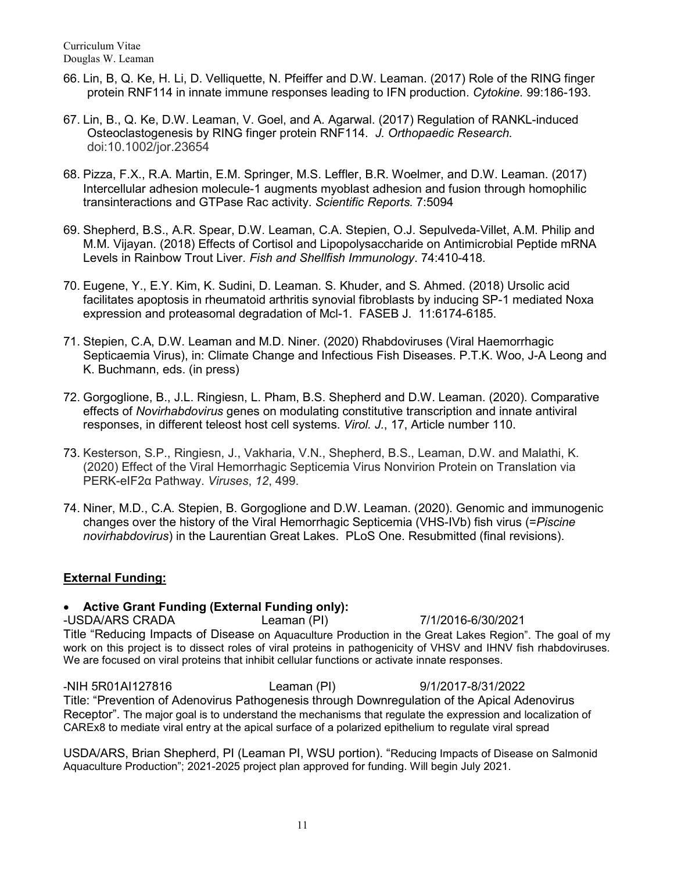- 66. Lin, B, Q. Ke, H. Li, D. Velliquette, N. Pfeiffer and D.W. Leaman. (2017) Role of the RING finger protein RNF114 in innate immune responses leading to IFN production. *Cytokine.* 99:186-193.
- 67. Lin, B., Q. Ke, D.W. Leaman, V. Goel, and A. Agarwal. (2017) Regulation of RANKL-induced Osteoclastogenesis by RING finger protein RNF114. *J. Orthopaedic Research.*  doi:10.1002/jor.23654
- 68. Pizza, F.X., R.A. Martin, E.M. Springer, M.S. Leffler, B.R. Woelmer, and D.W. Leaman. (2017) Intercellular adhesion molecule-1 augments myoblast adhesion and fusion through homophilic transinteractions and GTPase Rac activity. *Scientific Reports.* 7:5094
- 69. Shepherd, B.S., A.R. Spear, D.W. Leaman, C.A. Stepien, O.J. Sepulveda-Villet, A.M. Philip and M.M. Vijayan. (2018) Effects of Cortisol and Lipopolysaccharide on Antimicrobial Peptide mRNA Levels in Rainbow Trout Liver. *Fish and Shellfish Immunology*. 74:410-418.
- 70. Eugene, Y., E.Y. Kim, K. Sudini, D. Leaman. S. Khuder, and S. Ahmed. (2018) Ursolic acid facilitates apoptosis in rheumatoid arthritis synovial fibroblasts by inducing SP-1 mediated Noxa expression and proteasomal degradation of Mcl-1. FASEB J. 11:6174-6185.
- 71. Stepien, C.A, D.W. Leaman and M.D. Niner. (2020) Rhabdoviruses (Viral Haemorrhagic Septicaemia Virus), in: Climate Change and Infectious Fish Diseases. P.T.K. Woo, J-A Leong and K. Buchmann, eds. (in press)
- 72. Gorgoglione, B., J.L. Ringiesn, L. Pham, B.S. Shepherd and D.W. Leaman. (2020). Comparative effects of *Novirhabdovirus* genes on modulating constitutive transcription and innate antiviral responses, in different teleost host cell systems. *Virol. J.*, 17, Article number 110.
- 73. Kesterson, S.P., Ringiesn, J., Vakharia, V.N., Shepherd, B.S., Leaman, D.W. and Malathi, K. (2020) Effect of the Viral Hemorrhagic Septicemia Virus Nonvirion Protein on Translation via PERK-eIF2α Pathway. *Viruses*, *12*, 499.
- 74. Niner, M.D., C.A. Stepien, B. Gorgoglione and D.W. Leaman. (2020). Genomic and immunogenic changes over the history of the Viral Hemorrhagic Septicemia (VHS-IVb) fish virus (=*Piscine novirhabdovirus*) in the Laurentian Great Lakes. PLoS One. Resubmitted (final revisions).

## **External Funding:**

#### • **Active Grant Funding (External Funding only):**

-USDA/ARS CRADA Leaman (PI) 7/1/2016-6/30/2021 Title "Reducing Impacts of Disease on Aquaculture Production in the Great Lakes Region". The goal of my work on this project is to dissect roles of viral proteins in pathogenicity of VHSV and IHNV fish rhabdoviruses. We are focused on viral proteins that inhibit cellular functions or activate innate responses.

-NIH 5R01AI127816 Leaman (PI) 9/1/2017-8/31/2022 Title: "Prevention of Adenovirus Pathogenesis through Downregulation of the Apical Adenovirus Receptor". The major goal is to understand the mechanisms that regulate the expression and localization of CAREx8 to mediate viral entry at the apical surface of a polarized epithelium to regulate viral spread

USDA/ARS, Brian Shepherd, PI (Leaman PI, WSU portion). "Reducing Impacts of Disease on Salmonid Aquaculture Production"; 2021-2025 project plan approved for funding. Will begin July 2021.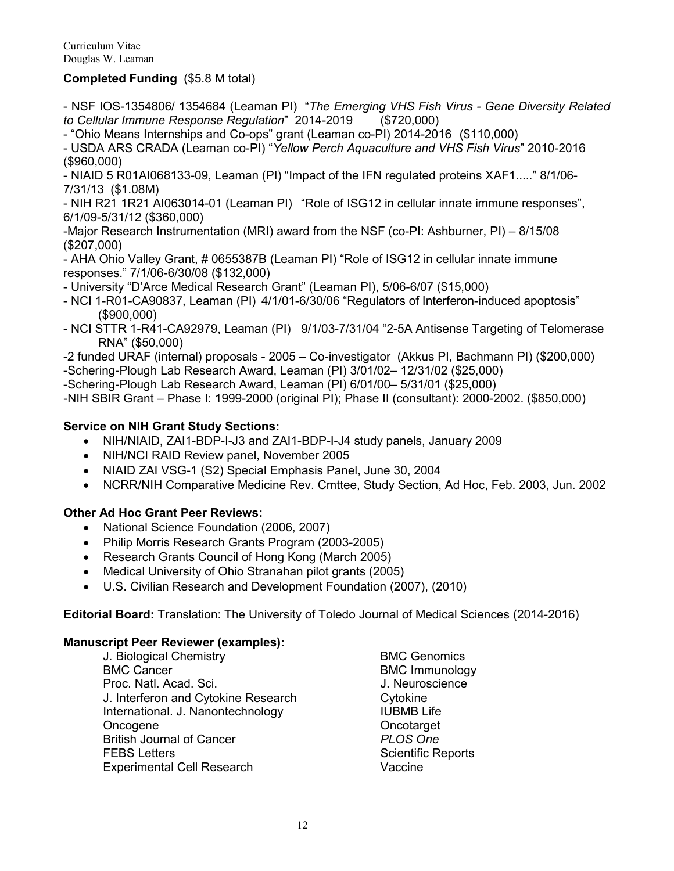## **Completed Funding** (\$5.8 M total)

- NSF IOS-1354806/ 1354684 (Leaman PI) "*The Emerging VHS Fish Virus - Gene Diversity Related to Cellular Immune Response Regulation*" 2014-2019 (\$720,000)

- "Ohio Means Internships and Co-ops" grant (Leaman co-PI) 2014-2016 (\$110,000)

- USDA ARS CRADA (Leaman co-PI) "*Yellow Perch Aquaculture and VHS Fish Virus*" 2010-2016 (\$960,000)

- NIAID 5 R01AI068133-09, Leaman (PI) "Impact of the IFN regulated proteins XAF1....." 8/1/06- 7/31/13 (\$1.08M)

- NIH R21 1R21 AI063014-01 (Leaman PI) "Role of ISG12 in cellular innate immune responses", 6/1/09-5/31/12 (\$360,000)

-Major Research Instrumentation (MRI) award from the NSF (co-PI: Ashburner, PI) – 8/15/08 (\$207,000)

- AHA Ohio Valley Grant, # 0655387B (Leaman PI) "Role of ISG12 in cellular innate immune responses." 7/1/06-6/30/08 (\$132,000)

- University "D'Arce Medical Research Grant" (Leaman PI), 5/06-6/07 (\$15,000)

- NCI 1-R01-CA90837, Leaman (PI) 4/1/01-6/30/06 "Regulators of Interferon-induced apoptosis" (\$900,000)
- NCI STTR 1-R41-CA92979, Leaman (PI) 9/1/03-7/31/04 "2-5A Antisense Targeting of Telomerase RNA" (\$50,000)
- -2 funded URAF (internal) proposals 2005 Co-investigator (Akkus PI, Bachmann PI) (\$200,000) -Schering-Plough Lab Research Award, Leaman (PI) 3/01/02– 12/31/02 (\$25,000)

-Schering-Plough Lab Research Award, Leaman (PI) 6/01/00– 5/31/01 (\$25,000)

-NIH SBIR Grant – Phase I: 1999-2000 (original PI); Phase II (consultant): 2000-2002. (\$850,000)

## **Service on NIH Grant Study Sections:**

- NIH/NIAID, ZAI1-BDP-I-J3 and ZAI1-BDP-I-J4 study panels, January 2009
- NIH/NCI RAID Review panel, November 2005
- NIAID ZAI VSG-1 (S2) Special Emphasis Panel, June 30, 2004
- NCRR/NIH Comparative Medicine Rev. Cmttee, Study Section, Ad Hoc, Feb. 2003, Jun. 2002

#### **Other Ad Hoc Grant Peer Reviews:**

- National Science Foundation (2006, 2007)
- Philip Morris Research Grants Program (2003-2005)
- Research Grants Council of Hong Kong (March 2005)
- Medical University of Ohio Stranahan pilot grants (2005)
- U.S. Civilian Research and Development Foundation (2007), (2010)

**Editorial Board:** Translation: The University of Toledo Journal of Medical Sciences (2014-2016)

#### **Manuscript Peer Reviewer (examples):**

J. Biological Chemistry **BMC Genomics** BMC Cancer BMC Immunology Proc. Natl. Acad. Sci. J. Neuroscience J. Interferon and Cytokine Research Cytokine International. J. Nanontechnology **IUBMB** Life Oncogene **Oncodarget** British Journal of Cancer *PLOS One* FEBS Letters **SCIENTIFIC REPORTS** Scientific Reports Experimental Cell Research Vaccine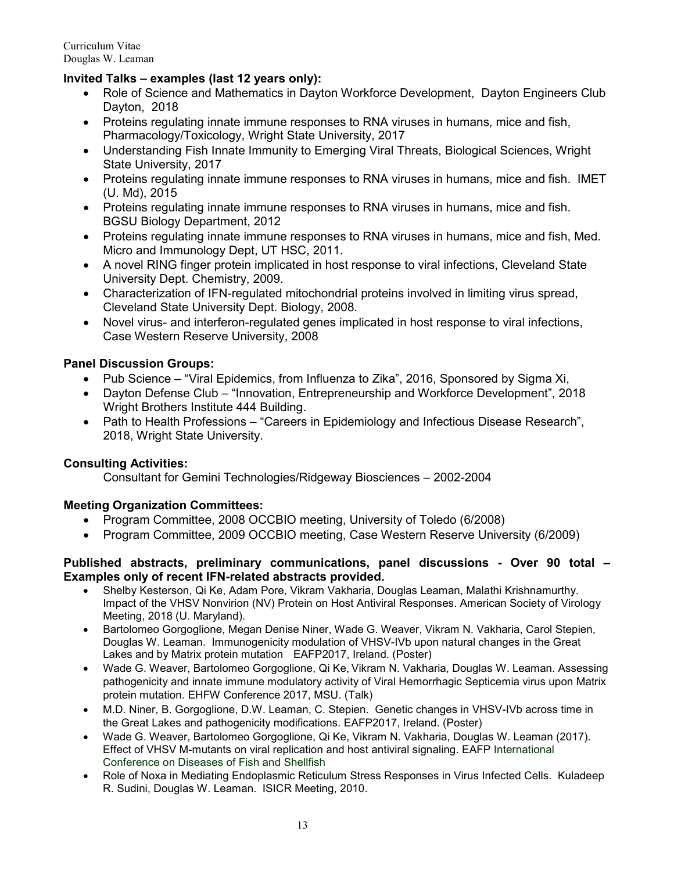## **Invited Talks – examples (last 12 years only):**

- Role of Science and Mathematics in Dayton Workforce Development, Dayton Engineers Club Dayton, 2018
- Proteins regulating innate immune responses to RNA viruses in humans, mice and fish, Pharmacology/Toxicology, Wright State University, 2017
- Understanding Fish Innate Immunity to Emerging Viral Threats, Biological Sciences, Wright State University, 2017
- Proteins regulating innate immune responses to RNA viruses in humans, mice and fish. IMET (U. Md), 2015
- Proteins regulating innate immune responses to RNA viruses in humans, mice and fish. BGSU Biology Department, 2012
- Proteins regulating innate immune responses to RNA viruses in humans, mice and fish, Med. Micro and Immunology Dept, UT HSC, 2011.
- A novel RING finger protein implicated in host response to viral infections, Cleveland State University Dept. Chemistry, 2009.
- Characterization of IFN-regulated mitochondrial proteins involved in limiting virus spread, Cleveland State University Dept. Biology, 2008.
- Novel virus- and interferon-regulated genes implicated in host response to viral infections, Case Western Reserve University, 2008

## **Panel Discussion Groups:**

- Pub Science "Viral Epidemics, from Influenza to Zika", 2016, Sponsored by Sigma Xi,
- Dayton Defense Club "Innovation, Entrepreneurship and Workforce Development", 2018 Wright Brothers Institute 444 Building.
- Path to Health Professions "Careers in Epidemiology and Infectious Disease Research", 2018, Wright State University.

## **Consulting Activities:**

Consultant for Gemini Technologies/Ridgeway Biosciences – 2002-2004

#### **Meeting Organization Committees:**

- Program Committee, 2008 OCCBIO meeting, University of Toledo (6/2008)
- Program Committee, 2009 OCCBIO meeting, Case Western Reserve University (6/2009)

#### **Published abstracts, preliminary communications, panel discussions - Over 90 total – Examples only of recent IFN-related abstracts provided.**

- Shelby Kesterson, Qi Ke, Adam Pore, Vikram Vakharia, Douglas Leaman, Malathi Krishnamurthy. Impact of the VHSV Nonvirion (NV) Protein on Host Antiviral Responses. American Society of Virology Meeting, 2018 (U. Maryland).
- Bartolomeo Gorgoglione, Megan Denise Niner, Wade G. Weaver, Vikram N. Vakharia, Carol Stepien, Douglas W. Leaman. Immunogenicity modulation of VHSV-IVb upon natural changes in the Great Lakes and by Matrix protein mutation EAFP2017, Ireland. (Poster)
- Wade G. Weaver, Bartolomeo Gorgoglione, Qi Ke, Vikram N. Vakharia, Douglas W. Leaman. Assessing pathogenicity and innate immune modulatory activity of Viral Hemorrhagic Septicemia virus upon Matrix protein mutation. EHFW Conference 2017, MSU. (Talk)
- M.D. Niner, B. Gorgoglione, D.W. Leaman, C. Stepien. Genetic changes in VHSV-IVb across time in the Great Lakes and pathogenicity modifications. EAFP2017, Ireland. (Poster)
- Wade G. Weaver, Bartolomeo Gorgoglione, Qi Ke, Vikram N. Vakharia, Douglas W. Leaman (2017). Effect of VHSV M-mutants on viral replication and host antiviral signaling. EAFP International Conference on Diseases of Fish and Shellfish
- Role of Noxa in Mediating Endoplasmic Reticulum Stress Responses in Virus Infected Cells. Kuladeep R. Sudini, Douglas W. Leaman. ISICR Meeting, 2010.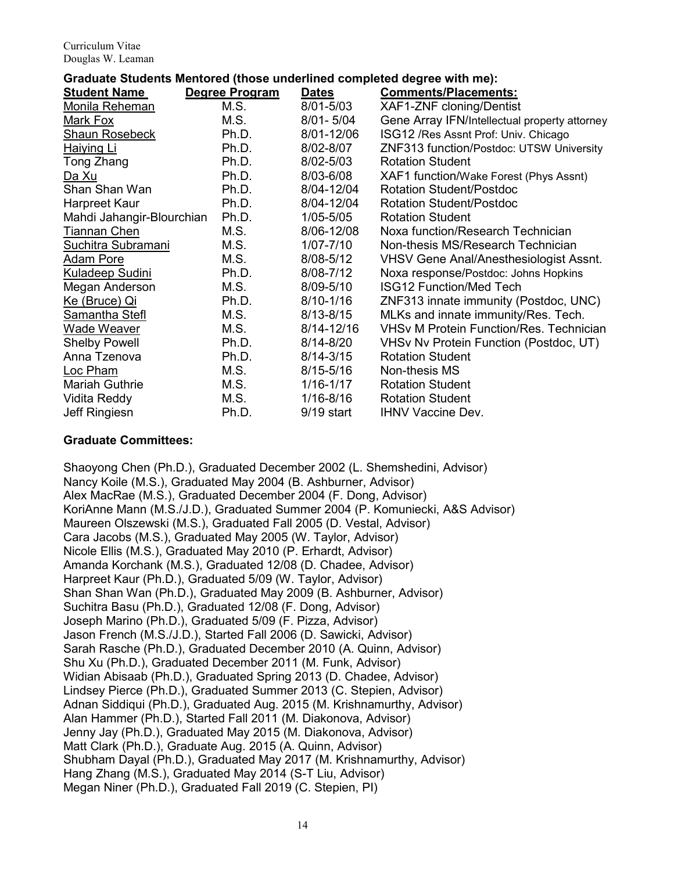## **Graduate Students Mentored (those underlined completed degree with me):**

| <b>Student Name</b>       | Degree Program | <b>Dates</b>  | <b>Comments/Placements:</b>                    |
|---------------------------|----------------|---------------|------------------------------------------------|
| Monila Reheman            | M.S.           | 8/01-5/03     | XAF1-ZNF cloning/Dentist                       |
| Mark Fox                  | M.S.           | $8/01 - 5/04$ | Gene Array IFN/Intellectual property attorney  |
| <b>Shaun Rosebeck</b>     | Ph.D.          | 8/01-12/06    | ISG12 / Res Assnt Prof: Univ. Chicago          |
| <b>Haiying Li</b>         | Ph.D.          | 8/02-8/07     | ZNF313 function/Postdoc: UTSW University       |
| Tong Zhang                | Ph.D.          | 8/02-5/03     | <b>Rotation Student</b>                        |
| <u>Da Xu</u>              | Ph.D.          | 8/03-6/08     | XAF1 function/Wake Forest (Phys Assnt)         |
| Shan Shan Wan             | Ph.D.          | 8/04-12/04    | <b>Rotation Student/Postdoc</b>                |
| Harpreet Kaur             | Ph.D.          | 8/04-12/04    | <b>Rotation Student/Postdoc</b>                |
| Mahdi Jahangir-Blourchian | Ph.D.          | 1/05-5/05     | <b>Rotation Student</b>                        |
| Tiannan Chen              | M.S.           | 8/06-12/08    | Noxa function/Research Technician              |
| Suchitra Subramani        | M.S.           | $1/07 - 7/10$ | Non-thesis MS/Research Technician              |
| <b>Adam Pore</b>          | M.S.           | 8/08-5/12     | <b>VHSV Gene Anal/Anesthesiologist Assnt.</b>  |
| <b>Kuladeep Sudini</b>    | Ph.D.          | 8/08-7/12     | Noxa response/Postdoc: Johns Hopkins           |
| Megan Anderson            | M.S.           | 8/09-5/10     | <b>ISG12 Function/Med Tech</b>                 |
| Ke (Bruce) Qi             | Ph.D.          | $8/10 - 1/16$ | ZNF313 innate immunity (Postdoc, UNC)          |
| Samantha Stefl            | M.S.           | $8/13 - 8/15$ | MLKs and innate immunity/Res. Tech.            |
| Wade Weaver               | M.S.           | 8/14-12/16    | <b>VHSv M Protein Function/Res. Technician</b> |
| <b>Shelby Powell</b>      | Ph.D.          | $8/14 - 8/20$ | VHSv Nv Protein Function (Postdoc, UT)         |
| Anna Tzenova              | Ph.D.          | $8/14 - 3/15$ | <b>Rotation Student</b>                        |
| Loc Pham                  | M.S.           | $8/15 - 5/16$ | Non-thesis MS                                  |
| <b>Mariah Guthrie</b>     | M.S.           | $1/16 - 1/17$ | <b>Rotation Student</b>                        |
| Vidita Reddy              | M.S.           | 1/16-8/16     | <b>Rotation Student</b>                        |
| Jeff Ringiesn             | Ph.D.          | $9/19$ start  | <b>IHNV Vaccine Dev.</b>                       |

#### **Graduate Committees:**

Shaoyong Chen (Ph.D.), Graduated December 2002 (L. Shemshedini, Advisor) Nancy Koile (M.S.), Graduated May 2004 (B. Ashburner, Advisor) Alex MacRae (M.S.), Graduated December 2004 (F. Dong, Advisor) KoriAnne Mann (M.S./J.D.), Graduated Summer 2004 (P. Komuniecki, A&S Advisor) Maureen Olszewski (M.S.), Graduated Fall 2005 (D. Vestal, Advisor) Cara Jacobs (M.S.), Graduated May 2005 (W. Taylor, Advisor) Nicole Ellis (M.S.), Graduated May 2010 (P. Erhardt, Advisor) Amanda Korchank (M.S.), Graduated 12/08 (D. Chadee, Advisor) Harpreet Kaur (Ph.D.), Graduated 5/09 (W. Taylor, Advisor) Shan Shan Wan (Ph.D.), Graduated May 2009 (B. Ashburner, Advisor) Suchitra Basu (Ph.D.), Graduated 12/08 (F. Dong, Advisor) Joseph Marino (Ph.D.), Graduated 5/09 (F. Pizza, Advisor) Jason French (M.S./J.D.), Started Fall 2006 (D. Sawicki, Advisor) Sarah Rasche (Ph.D.), Graduated December 2010 (A. Quinn, Advisor) Shu Xu (Ph.D.), Graduated December 2011 (M. Funk, Advisor) Widian Abisaab (Ph.D.), Graduated Spring 2013 (D. Chadee, Advisor) Lindsey Pierce (Ph.D.), Graduated Summer 2013 (C. Stepien, Advisor) Adnan Siddiqui (Ph.D.), Graduated Aug. 2015 (M. Krishnamurthy, Advisor) Alan Hammer (Ph.D.), Started Fall 2011 (M. Diakonova, Advisor) Jenny Jay (Ph.D.), Graduated May 2015 (M. Diakonova, Advisor) Matt Clark (Ph.D.), Graduate Aug. 2015 (A. Quinn, Advisor) Shubham Dayal (Ph.D.), Graduated May 2017 (M. Krishnamurthy, Advisor) Hang Zhang (M.S.), Graduated May 2014 (S-T Liu, Advisor) Megan Niner (Ph.D.), Graduated Fall 2019 (C. Stepien, PI)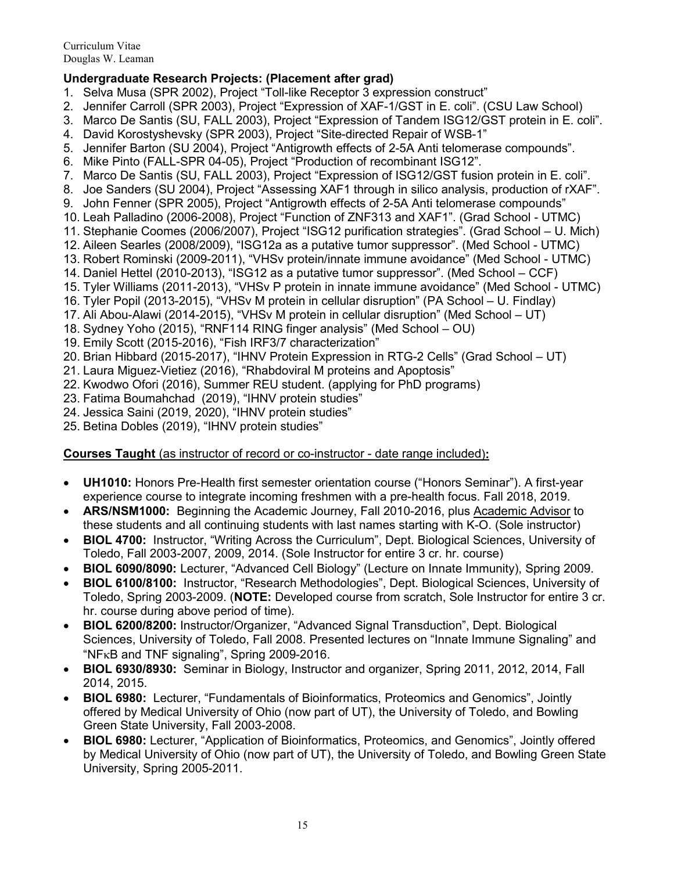## **Undergraduate Research Projects: (Placement after grad)**

- 1. Selva Musa (SPR 2002), Project "Toll-like Receptor 3 expression construct"
- 2. Jennifer Carroll (SPR 2003), Project "Expression of XAF-1/GST in E. coli". (CSU Law School)
- 3. Marco De Santis (SU, FALL 2003), Project "Expression of Tandem ISG12/GST protein in E. coli".
- 4. David Korostyshevsky (SPR 2003), Project "Site-directed Repair of WSB-1"
- 5. Jennifer Barton (SU 2004), Project "Antigrowth effects of 2-5A Anti telomerase compounds".
- 6. Mike Pinto (FALL-SPR 04-05), Project "Production of recombinant ISG12".
- 7. Marco De Santis (SU, FALL 2003), Project "Expression of ISG12/GST fusion protein in E. coli".
- 8. Joe Sanders (SU 2004), Project "Assessing XAF1 through in silico analysis, production of rXAF".
- 9. John Fenner (SPR 2005), Project "Antigrowth effects of 2-5A Anti telomerase compounds"
- 10. Leah Palladino (2006-2008), Project "Function of ZNF313 and XAF1". (Grad School UTMC)
- 11. Stephanie Coomes (2006/2007), Project "ISG12 purification strategies". (Grad School U. Mich)
- 12. Aileen Searles (2008/2009), "ISG12a as a putative tumor suppressor". (Med School UTMC)
- 13. Robert Rominski (2009-2011), "VHSv protein/innate immune avoidance" (Med School UTMC)
- 14. Daniel Hettel (2010-2013), "ISG12 as a putative tumor suppressor". (Med School CCF)
- 15. Tyler Williams (2011-2013), "VHSv P protein in innate immune avoidance" (Med School UTMC)
- 16. Tyler Popil (2013-2015), "VHSv M protein in cellular disruption" (PA School U. Findlay)
- 17. Ali Abou-Alawi (2014-2015), "VHSv M protein in cellular disruption" (Med School UT)
- 18. Sydney Yoho (2015), "RNF114 RING finger analysis" (Med School OU)
- 19. Emily Scott (2015-2016), "Fish IRF3/7 characterization"
- 20. Brian Hibbard (2015-2017), "IHNV Protein Expression in RTG-2 Cells" (Grad School UT)
- 21. Laura Miguez-Vietiez (2016), "Rhabdoviral M proteins and Apoptosis"
- 22. Kwodwo Ofori (2016), Summer REU student. (applying for PhD programs)
- 23. Fatima Boumahchad (2019), "IHNV protein studies"
- 24. Jessica Saini (2019, 2020), "IHNV protein studies"
- 25. Betina Dobles (2019), "IHNV protein studies"

## **Courses Taught** (as instructor of record or co-instructor - date range included)**:**

- **UH1010:** Honors Pre-Health first semester orientation course ("Honors Seminar"). A first-year experience course to integrate incoming freshmen with a pre-health focus. Fall 2018, 2019.
- **ARS/NSM1000:** Beginning the Academic Journey, Fall 2010-2016, plus Academic Advisor to these students and all continuing students with last names starting with K-O. (Sole instructor)
- **BIOL 4700:** Instructor, "Writing Across the Curriculum", Dept. Biological Sciences, University of Toledo, Fall 2003-2007, 2009, 2014. (Sole Instructor for entire 3 cr. hr. course)
- **BIOL 6090/8090:** Lecturer, "Advanced Cell Biology" (Lecture on Innate Immunity), Spring 2009.
- **BIOL 6100/8100:** Instructor, "Research Methodologies", Dept. Biological Sciences, University of Toledo, Spring 2003-2009. (**NOTE:** Developed course from scratch, Sole Instructor for entire 3 cr. hr. course during above period of time).
- **BIOL 6200/8200:** Instructor/Organizer, "Advanced Signal Transduction", Dept. Biological Sciences, University of Toledo, Fall 2008. Presented lectures on "Innate Immune Signaling" and "NFκB and TNF signaling", Spring 2009-2016.
- **BIOL 6930/8930:** Seminar in Biology, Instructor and organizer, Spring 2011, 2012, 2014, Fall 2014, 2015.
- **BIOL 6980:** Lecturer, "Fundamentals of Bioinformatics, Proteomics and Genomics", Jointly offered by Medical University of Ohio (now part of UT), the University of Toledo, and Bowling Green State University, Fall 2003-2008.
- **BIOL 6980:** Lecturer, "Application of Bioinformatics, Proteomics, and Genomics", Jointly offered by Medical University of Ohio (now part of UT), the University of Toledo, and Bowling Green State University, Spring 2005-2011.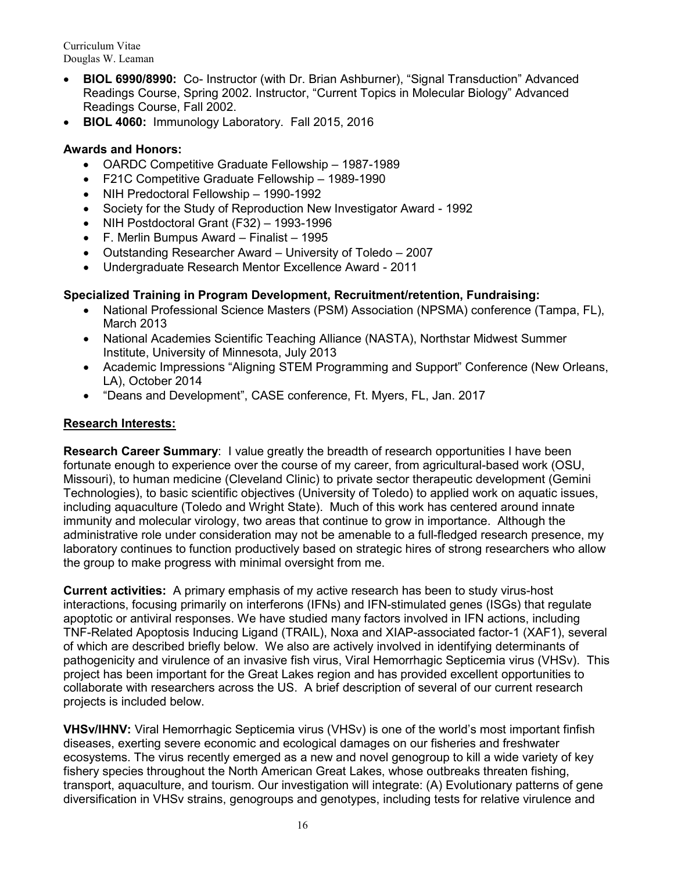- **BIOL 6990/8990:** Co- Instructor (with Dr. Brian Ashburner), "Signal Transduction" Advanced Readings Course, Spring 2002. Instructor, "Current Topics in Molecular Biology" Advanced Readings Course, Fall 2002.
- **BIOL 4060:** Immunology Laboratory. Fall 2015, 2016

## **Awards and Honors:**

- OARDC Competitive Graduate Fellowship 1987-1989
- F21C Competitive Graduate Fellowship 1989-1990
- NIH Predoctoral Fellowship 1990-1992
- Society for the Study of Reproduction New Investigator Award 1992
- NIH Postdoctoral Grant (F32) 1993-1996
- F. Merlin Bumpus Award Finalist 1995
- Outstanding Researcher Award University of Toledo 2007
- Undergraduate Research Mentor Excellence Award 2011

## **Specialized Training in Program Development, Recruitment/retention, Fundraising:**

- National Professional Science Masters (PSM) Association (NPSMA) conference (Tampa, FL), March 2013
- National Academies Scientific Teaching Alliance (NASTA), Northstar Midwest Summer Institute, University of Minnesota, July 2013
- Academic Impressions "Aligning STEM Programming and Support" Conference (New Orleans, LA), October 2014
- "Deans and Development", CASE conference, Ft. Myers, FL, Jan. 2017

#### **Research Interests:**

**Research Career Summary**: I value greatly the breadth of research opportunities I have been fortunate enough to experience over the course of my career, from agricultural-based work (OSU, Missouri), to human medicine (Cleveland Clinic) to private sector therapeutic development (Gemini Technologies), to basic scientific objectives (University of Toledo) to applied work on aquatic issues, including aquaculture (Toledo and Wright State). Much of this work has centered around innate immunity and molecular virology, two areas that continue to grow in importance. Although the administrative role under consideration may not be amenable to a full-fledged research presence, my laboratory continues to function productively based on strategic hires of strong researchers who allow the group to make progress with minimal oversight from me.

**Current activities:** A primary emphasis of my active research has been to study virus-host interactions, focusing primarily on interferons (IFNs) and IFN-stimulated genes (ISGs) that regulate apoptotic or antiviral responses. We have studied many factors involved in IFN actions, including TNF-Related Apoptosis Inducing Ligand (TRAIL), Noxa and XIAP-associated factor-1 (XAF1), several of which are described briefly below. We also are actively involved in identifying determinants of pathogenicity and virulence of an invasive fish virus, Viral Hemorrhagic Septicemia virus (VHSv). This project has been important for the Great Lakes region and has provided excellent opportunities to collaborate with researchers across the US. A brief description of several of our current research projects is included below.

**VHSv/IHNV:** Viral Hemorrhagic Septicemia virus (VHSv) is one of the world's most important finfish diseases, exerting severe economic and ecological damages on our fisheries and freshwater ecosystems. The virus recently emerged as a new and novel genogroup to kill a wide variety of key fishery species throughout the North American Great Lakes, whose outbreaks threaten fishing, transport, aquaculture, and tourism. Our investigation will integrate: (A) Evolutionary patterns of gene diversification in VHSv strains, genogroups and genotypes, including tests for relative virulence and